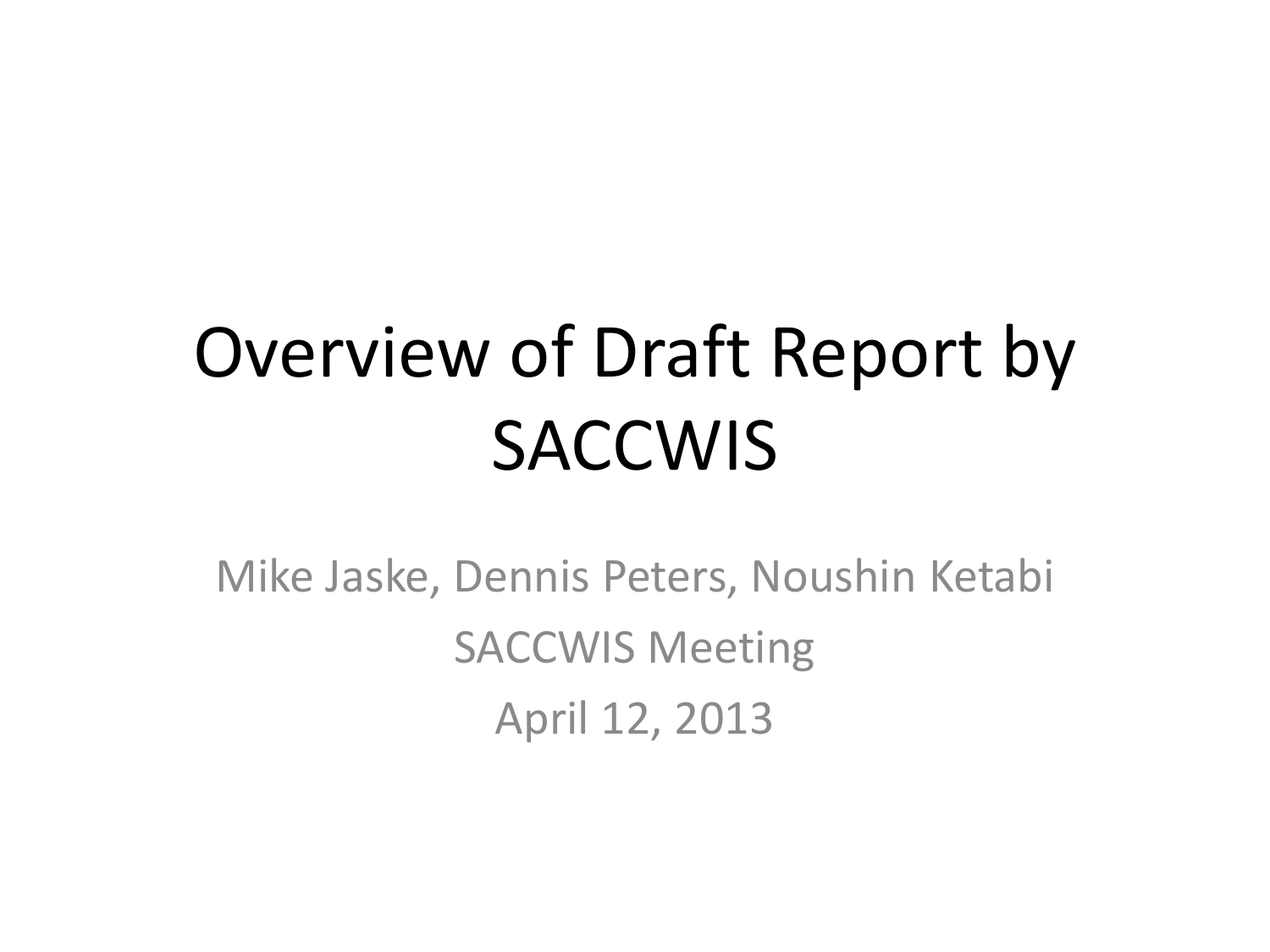## Overview of Draft Report by **SACCWIS**

Mike Jaske, Dennis Peters, Noushin Ketabi SACCWIS Meeting April 12, 2013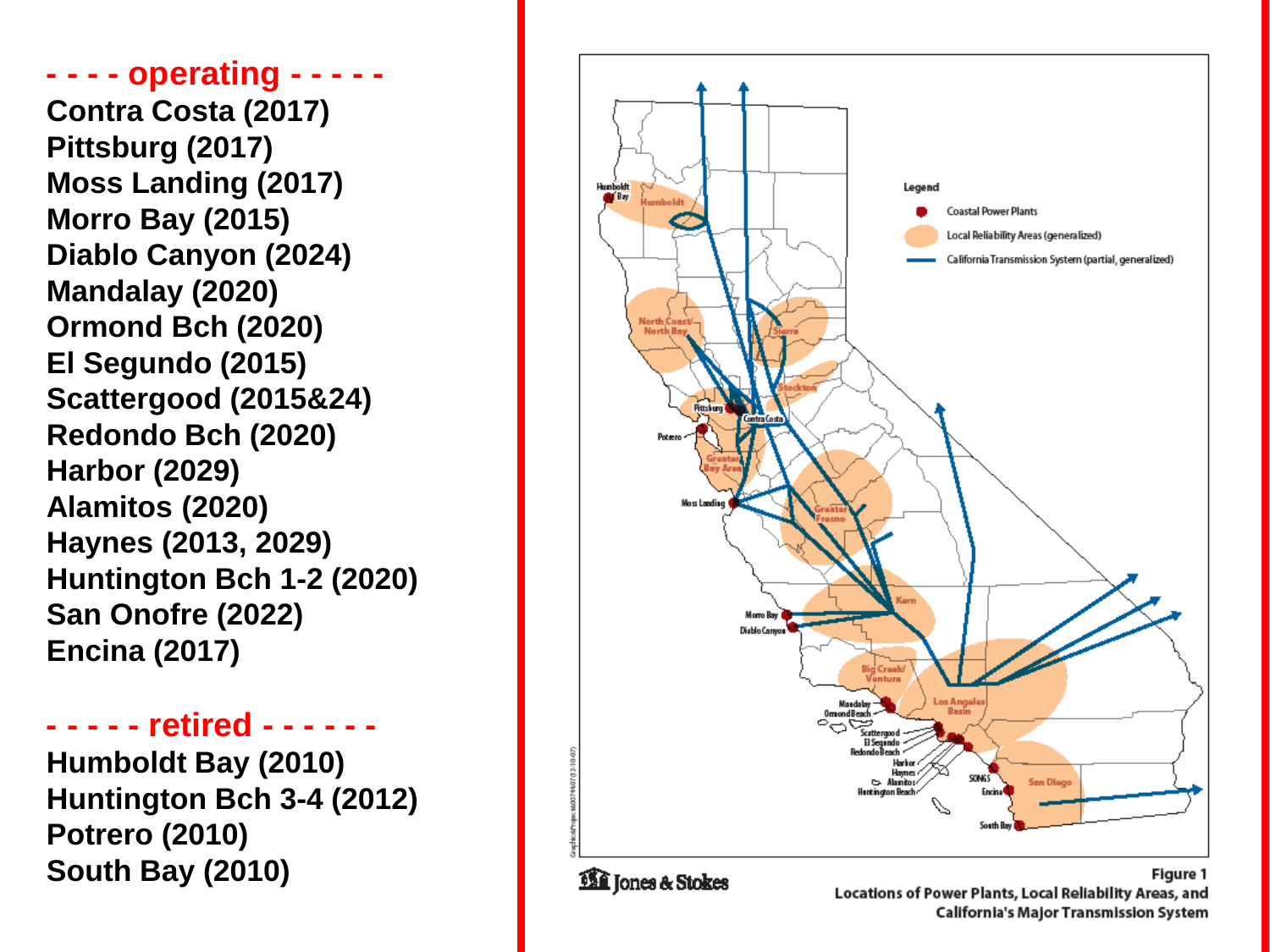**- - - - operating - - - - - Contra Costa (2017) Pittsburg (2017) Moss Landing (2017) Morro Bay (2015) Diablo Canyon (2024) Mandalay (2020) Ormond Bch (2020) El Segundo (2015) Scattergood (2015&24) Redondo Bch (2020) Harbor (2029) Alamitos (2020) Haynes (2013, 2029) Huntington Bch 1 -2 (2020) San Onofre (2022) Encina (2017)**

**- - - - - retired - - - - -**

**Humboldt Bay (2010) Huntington Bch 3 -4 (2012) Potrero (2010) South Bay (2010)**

**-**



Locations of Power Plants, Local Reliability Areas, and California's Major Transmission System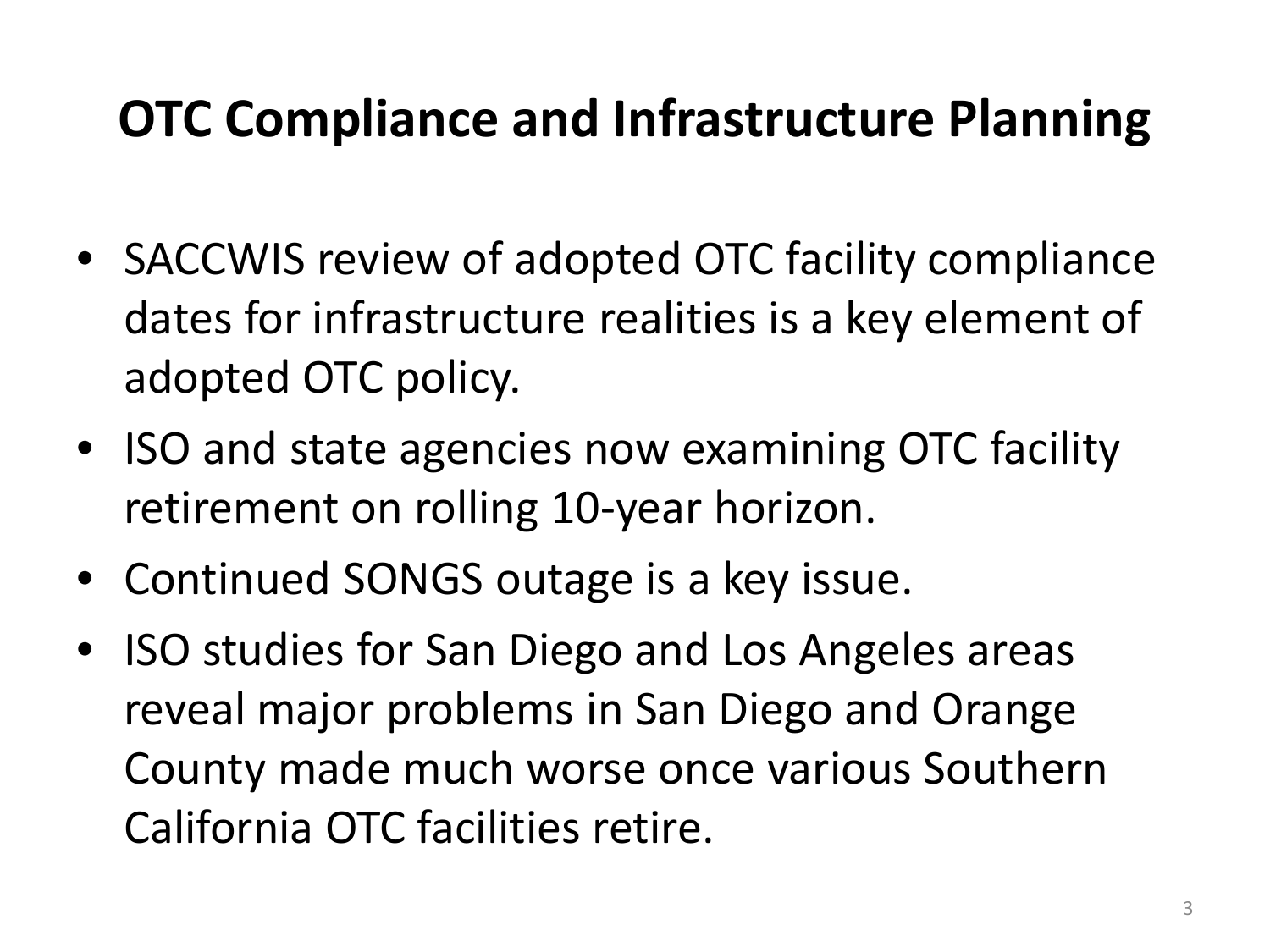#### **OTC Compliance and Infrastructure Planning**

- SACCWIS review of adopted OTC facility compliance dates for infrastructure realities is a key element of adopted OTC policy.
- ISO and state agencies now examining OTC facility retirement on rolling 10-year horizon.
- Continued SONGS outage is a key issue.
- ISO studies for San Diego and Los Angeles areas reveal major problems in San Diego and Orange County made much worse once various Southern California OTC facilities retire.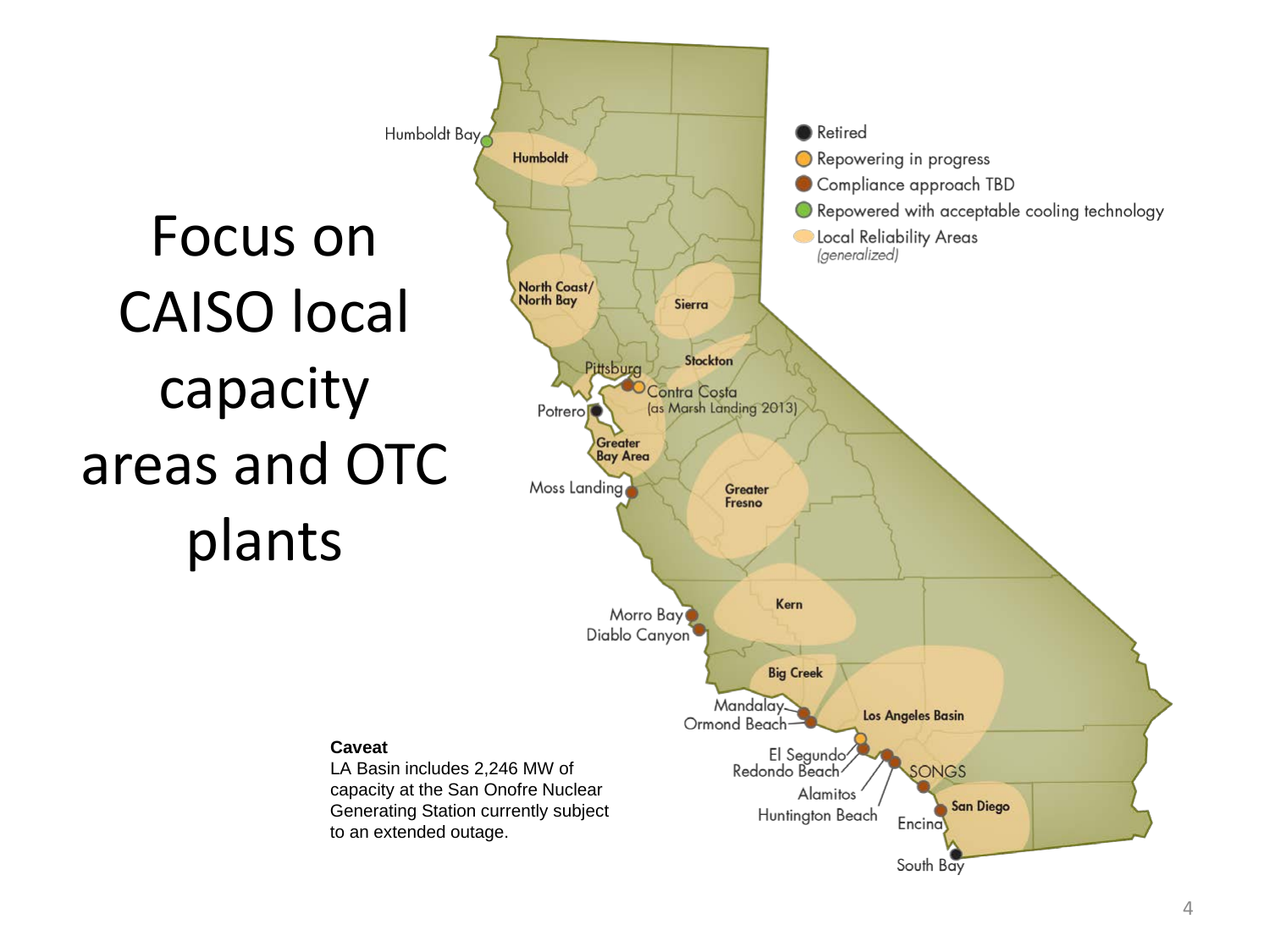Focus on CAISO local capacity areas and OTC plants

**Caveat**

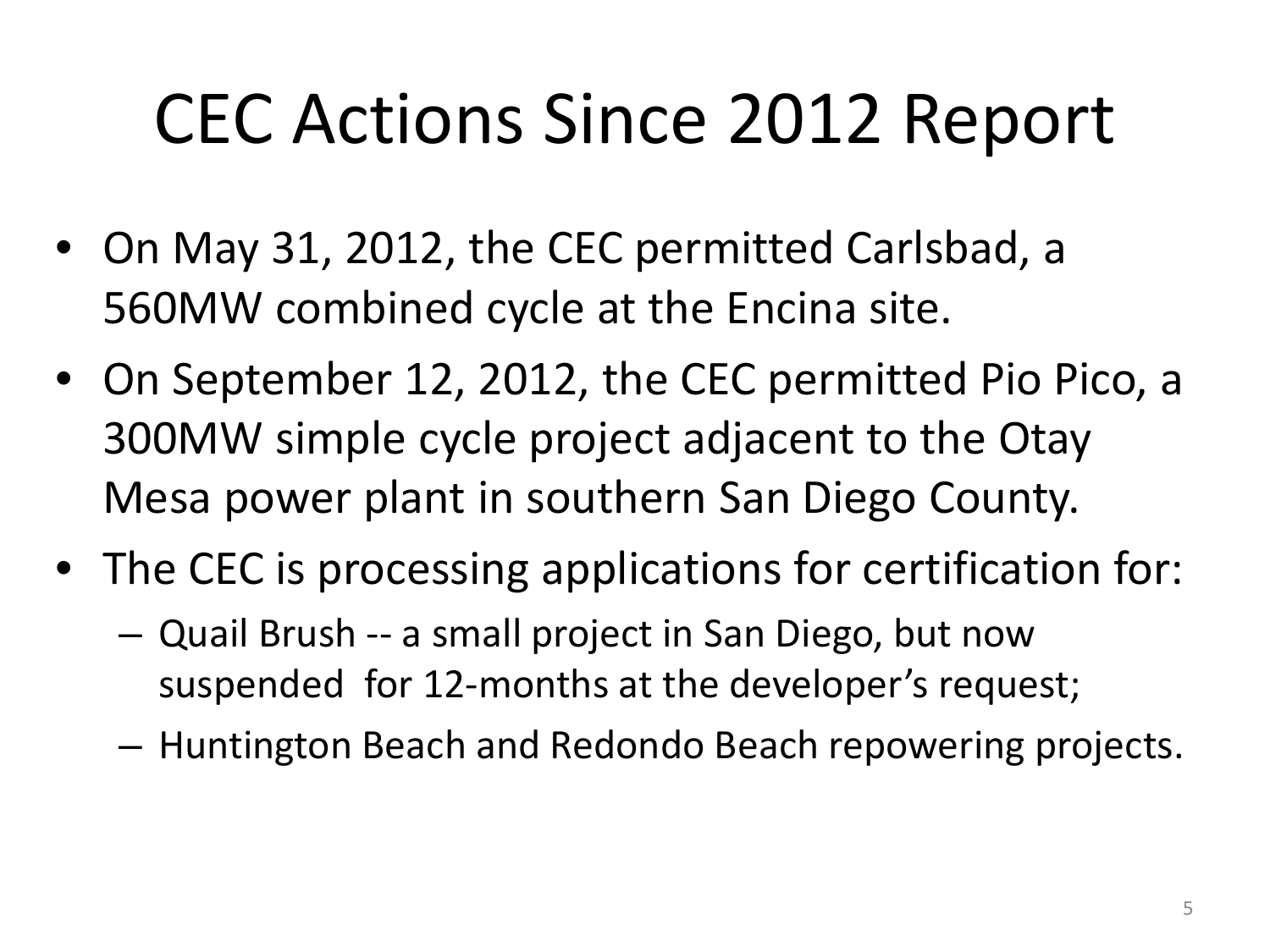#### CEC Actions Since 2012 Report

- On May 31, 2012, the CEC permitted Carlsbad, a 560MW combined cycle at the Encina site.
- On September 12, 2012, the CEC permitted Pio Pico, a 300MW simple cycle project adjacent to the Otay Mesa power plant in southern San Diego County.
- The CEC is processing applications for certification for:
	- Quail Brush -- a small project in San Diego, but now suspended for 12-months at the developer's request;
	- Huntington Beach and Redondo Beach repowering projects.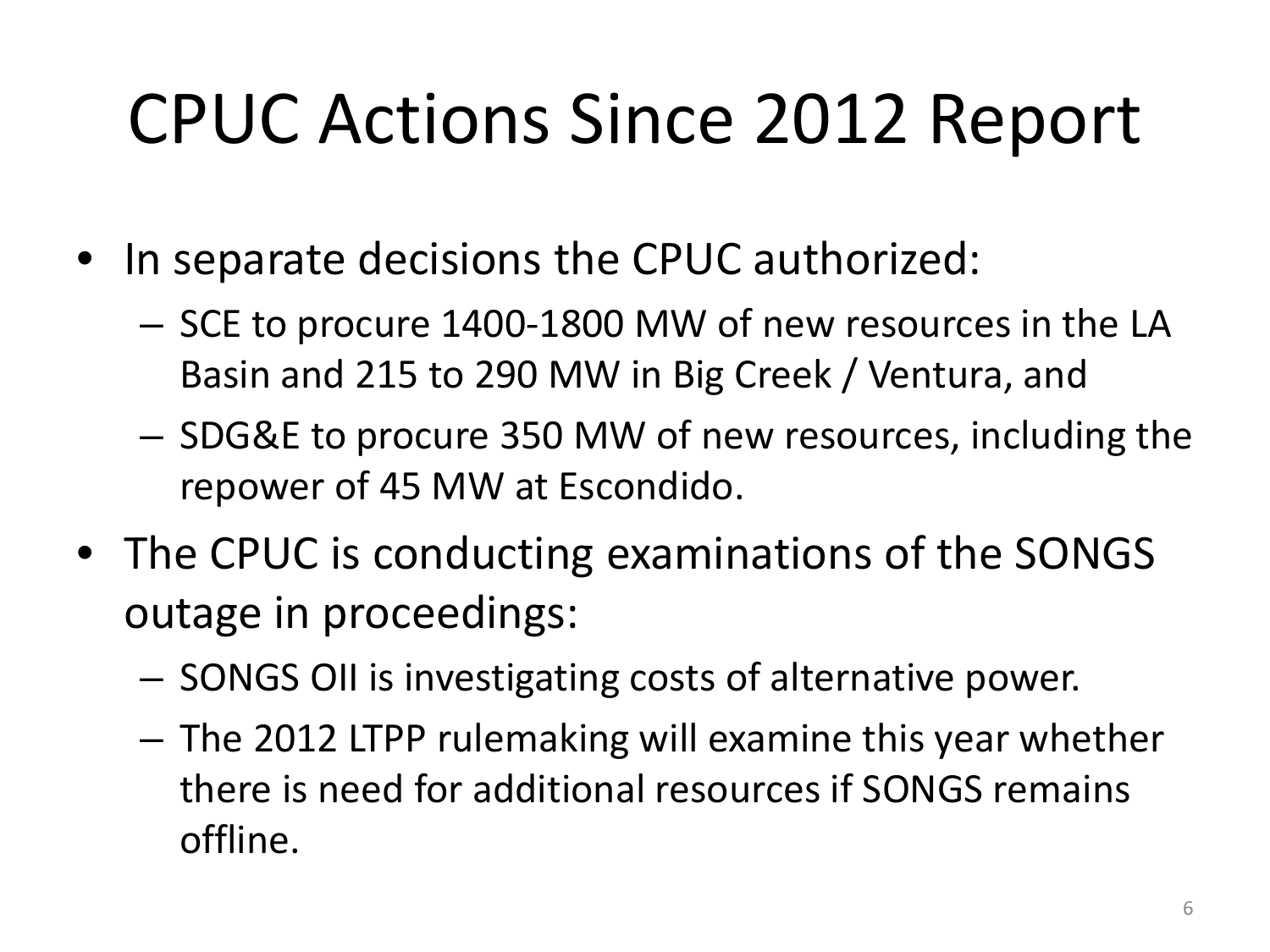## CPUC Actions Since 2012 Report

- In separate decisions the CPUC authorized:
	- SCE to procure 1400-1800 MW of new resources in the LA Basin and 215 to 290 MW in Big Creek / Ventura, and
	- SDG&E to procure 350 MW of new resources, including the repower of 45 MW at Escondido.
- The CPUC is conducting examinations of the SONGS outage in proceedings:
	- SONGS OII is investigating costs of alternative power.
	- The 2012 LTPP rulemaking will examine this year whether there is need for additional resources if SONGS remains offline.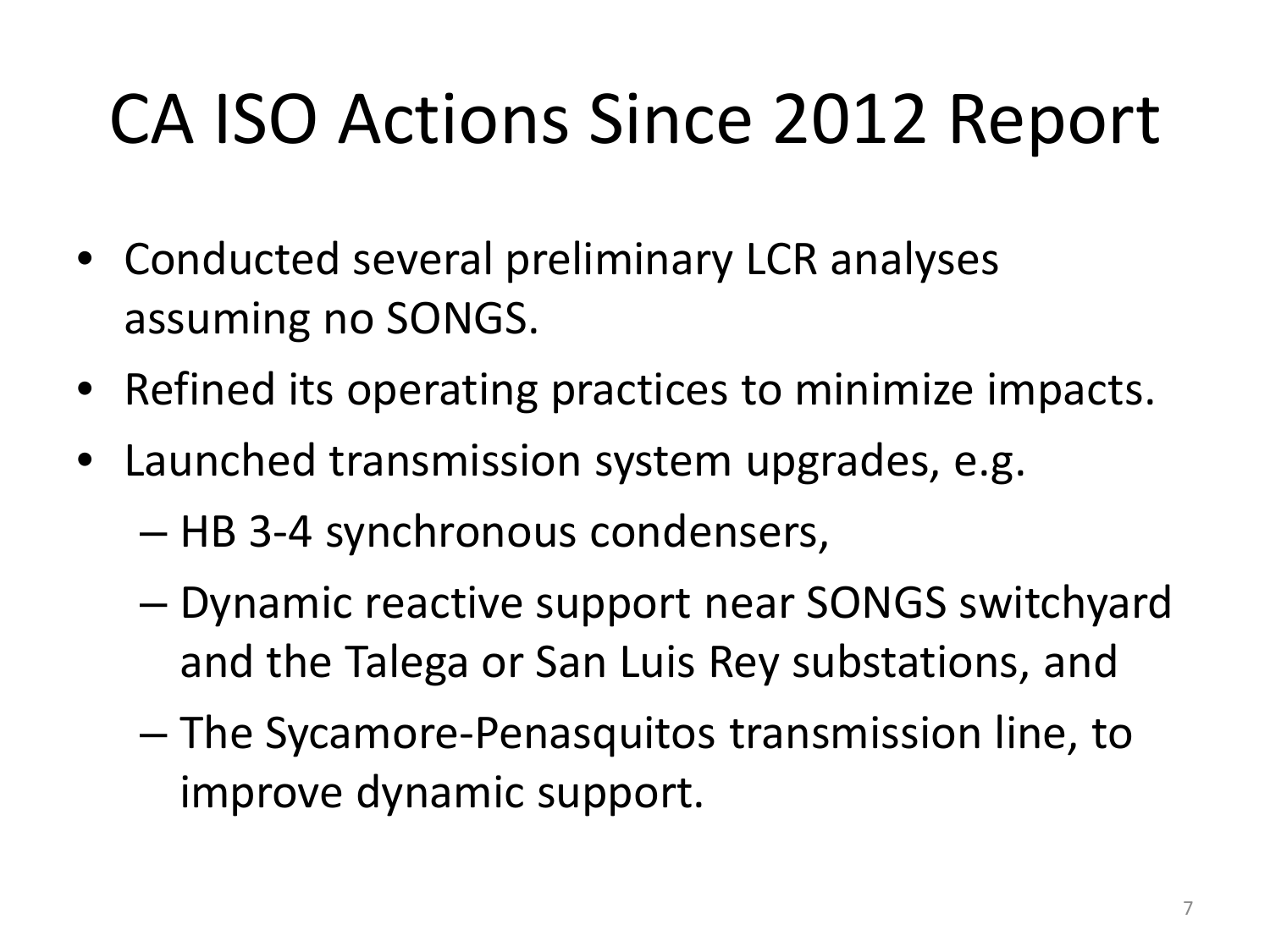## CA ISO Actions Since 2012 Report

- Conducted several preliminary LCR analyses assuming no SONGS.
- Refined its operating practices to minimize impacts.
- Launched transmission system upgrades, e.g.
	- HB 3-4 synchronous condensers,
	- Dynamic reactive support near SONGS switchyard and the Talega or San Luis Rey substations, and
	- The Sycamore-Penasquitos transmission line, to improve dynamic support.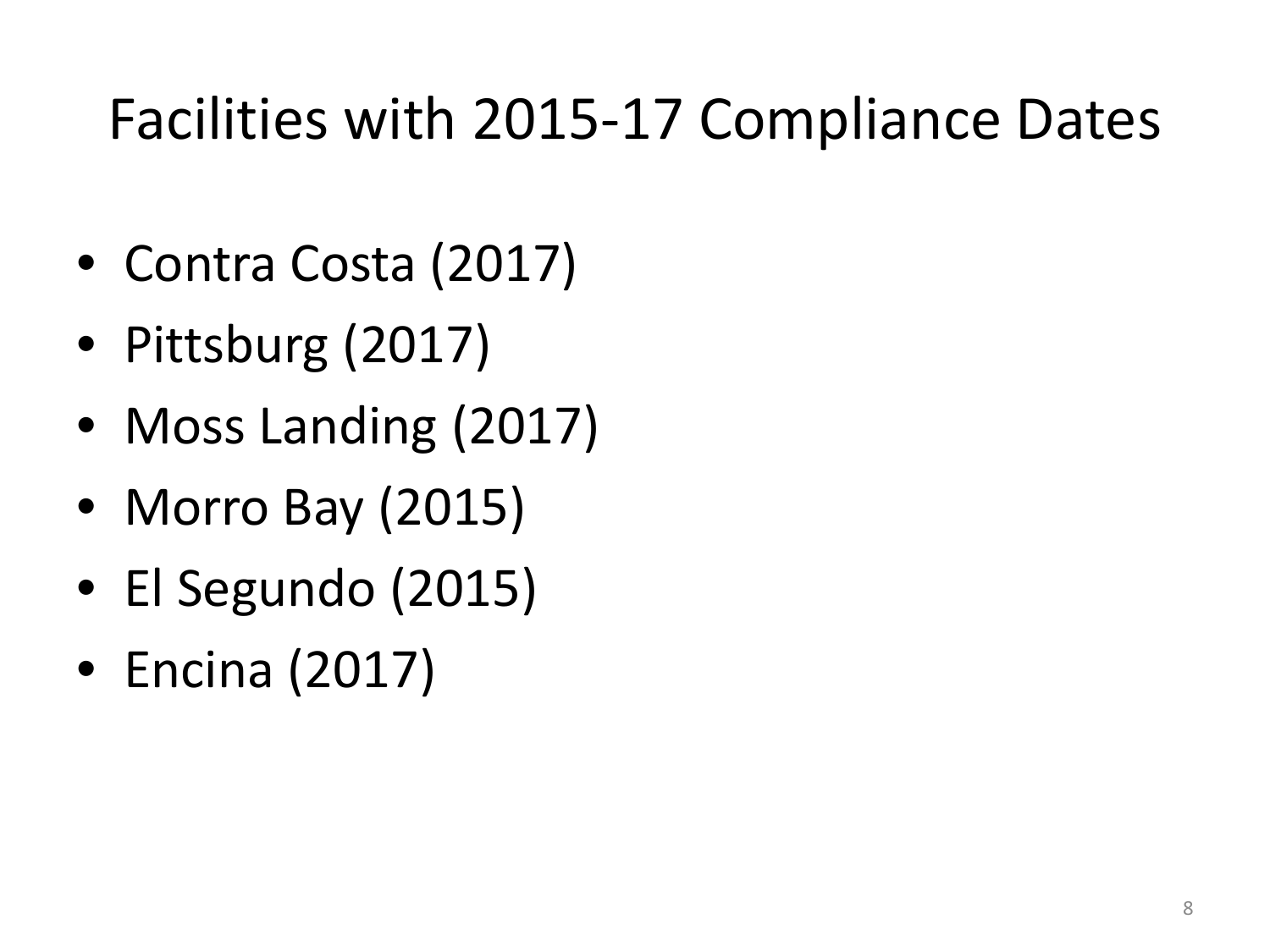#### Facilities with 2015-17 Compliance Dates

- Contra Costa (2017)
- Pittsburg (2017)
- Moss Landing (2017)
- Morro Bay (2015)
- El Segundo (2015)
- Encina (2017)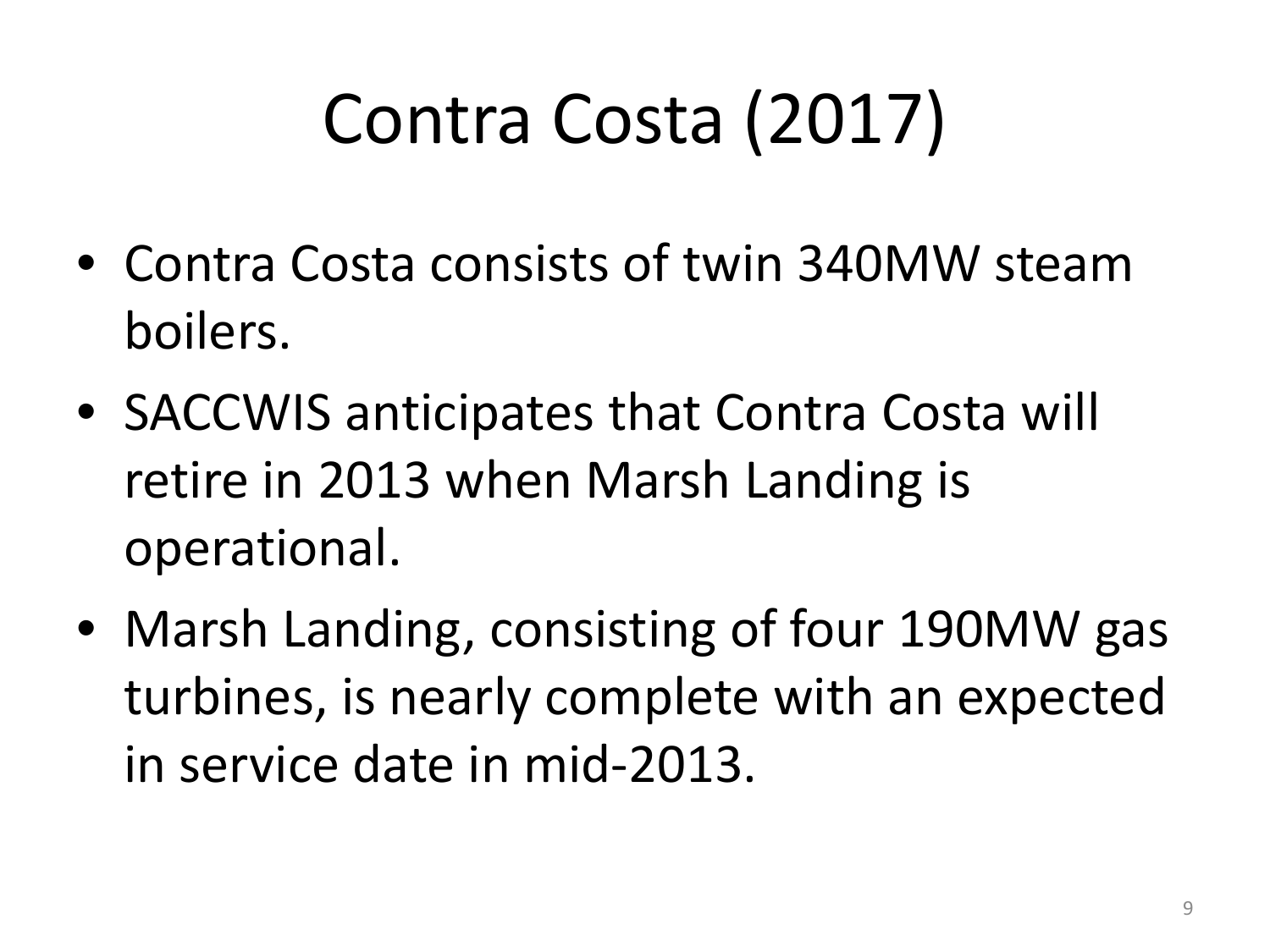## Contra Costa (2017)

- Contra Costa consists of twin 340MW steam boilers.
- SACCWIS anticipates that Contra Costa will retire in 2013 when Marsh Landing is operational.
- Marsh Landing, consisting of four 190MW gas turbines, is nearly complete with an expected in service date in mid-2013.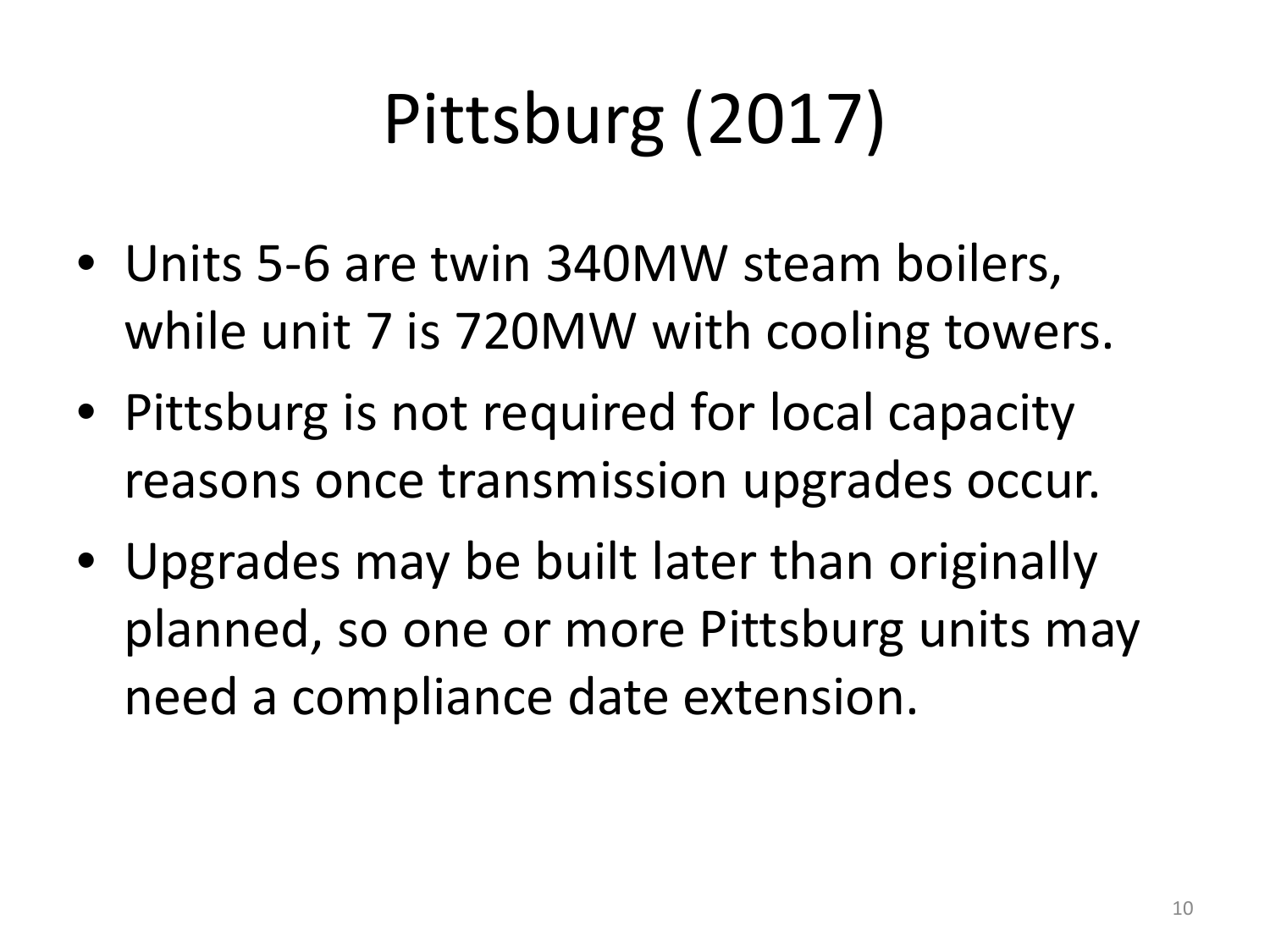## Pittsburg (2017)

- Units 5-6 are twin 340MW steam boilers, while unit 7 is 720MW with cooling towers.
- Pittsburg is not required for local capacity reasons once transmission upgrades occur.
- Upgrades may be built later than originally planned, so one or more Pittsburg units may need a compliance date extension.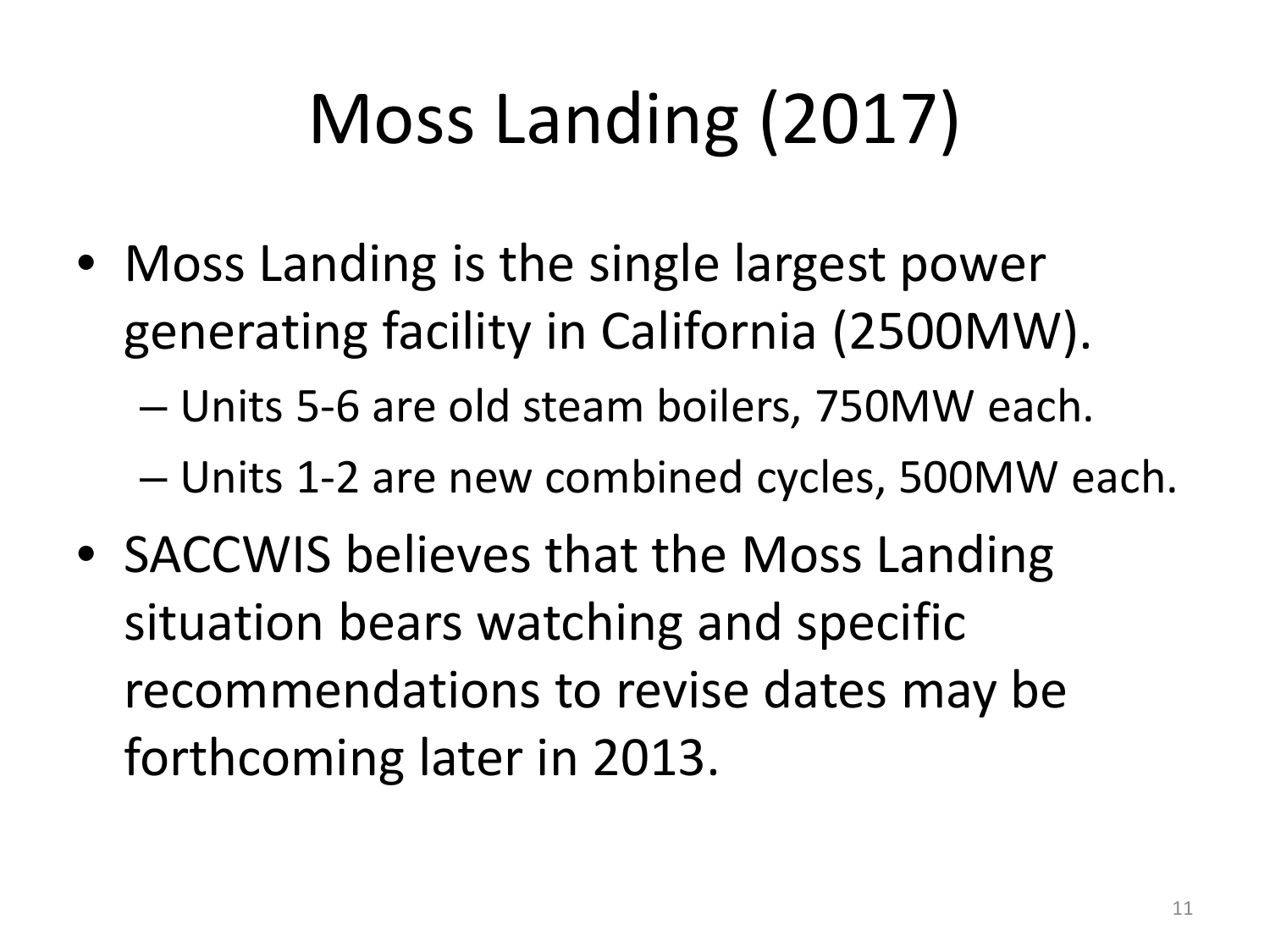## Moss Landing (2017)

• Moss Landing is the single largest power generating facility in California (2500MW).

– Units 5-6 are old steam boilers, 750MW each.

– Units 1-2 are new combined cycles, 500MW each.

• SACCWIS believes that the Moss Landing situation bears watching and specific recommendations to revise dates may be forthcoming later in 2013.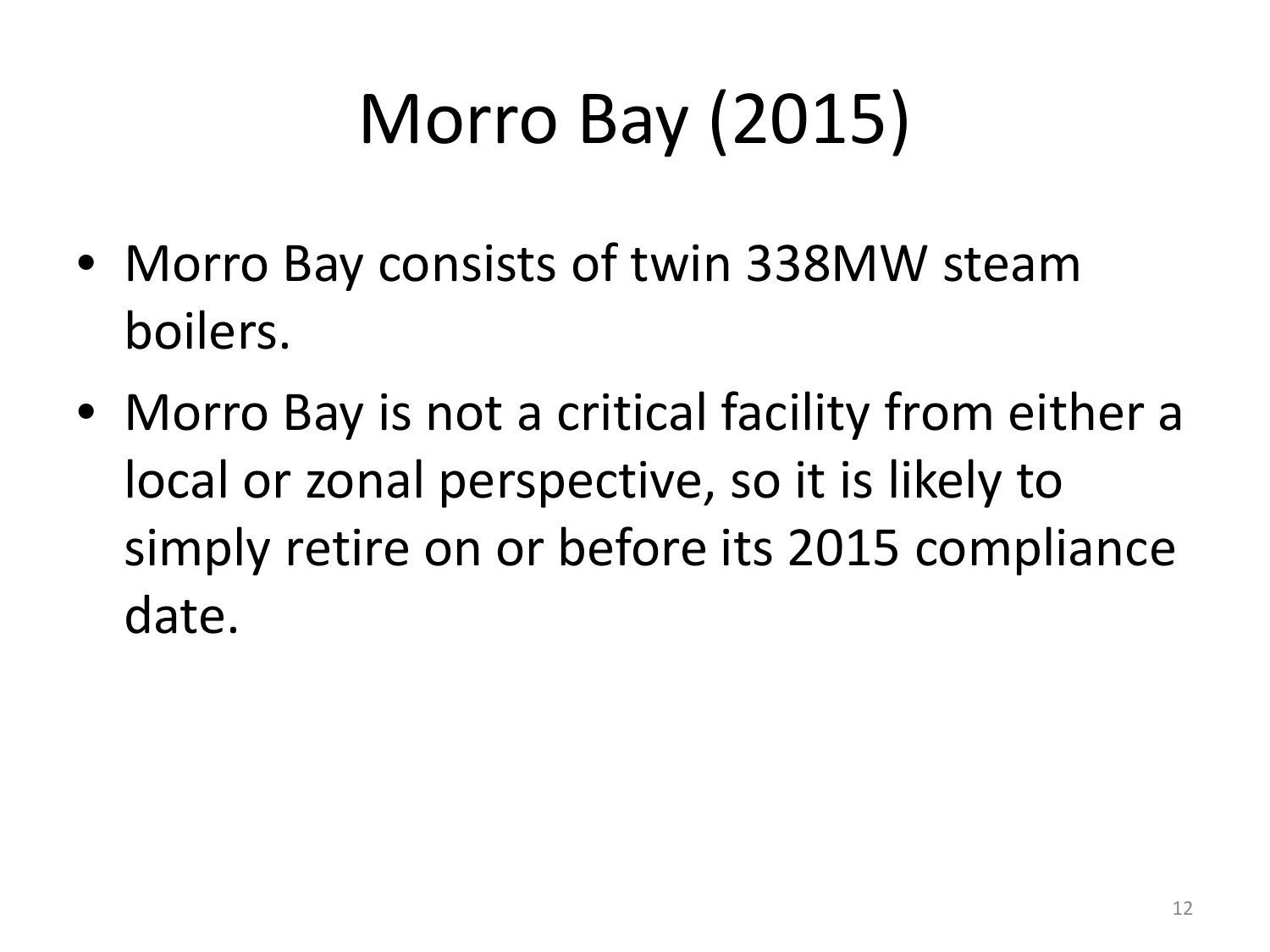# Morro Bay (2015)

- Morro Bay consists of twin 338MW steam boilers.
- Morro Bay is not a critical facility from either a local or zonal perspective, so it is likely to simply retire on or before its 2015 compliance date.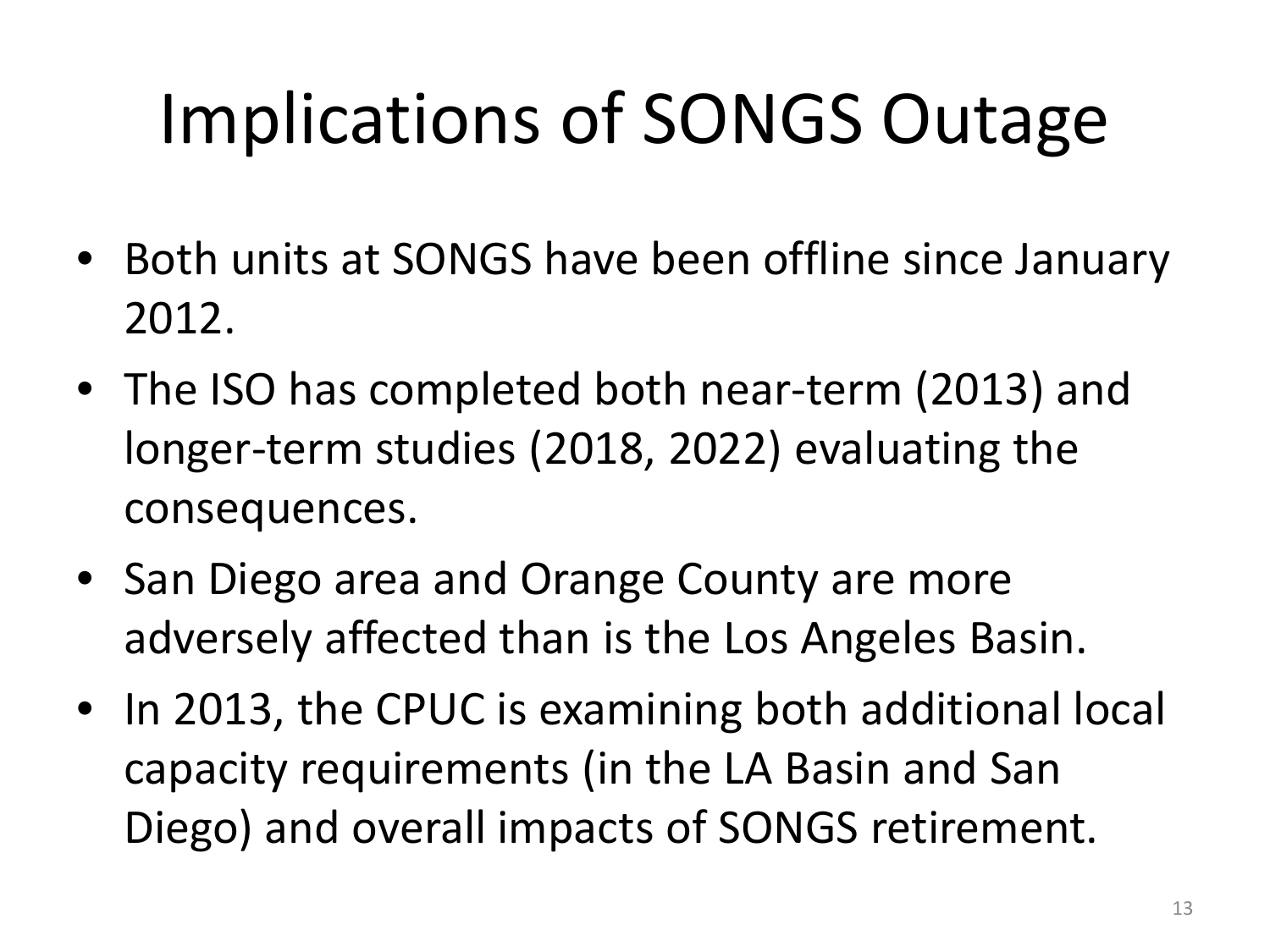## Implications of SONGS Outage

- Both units at SONGS have been offline since January 2012.
- The ISO has completed both near-term (2013) and longer-term studies (2018, 2022) evaluating the consequences.
- San Diego area and Orange County are more adversely affected than is the Los Angeles Basin.
- In 2013, the CPUC is examining both additional local capacity requirements (in the LA Basin and San Diego) and overall impacts of SONGS retirement.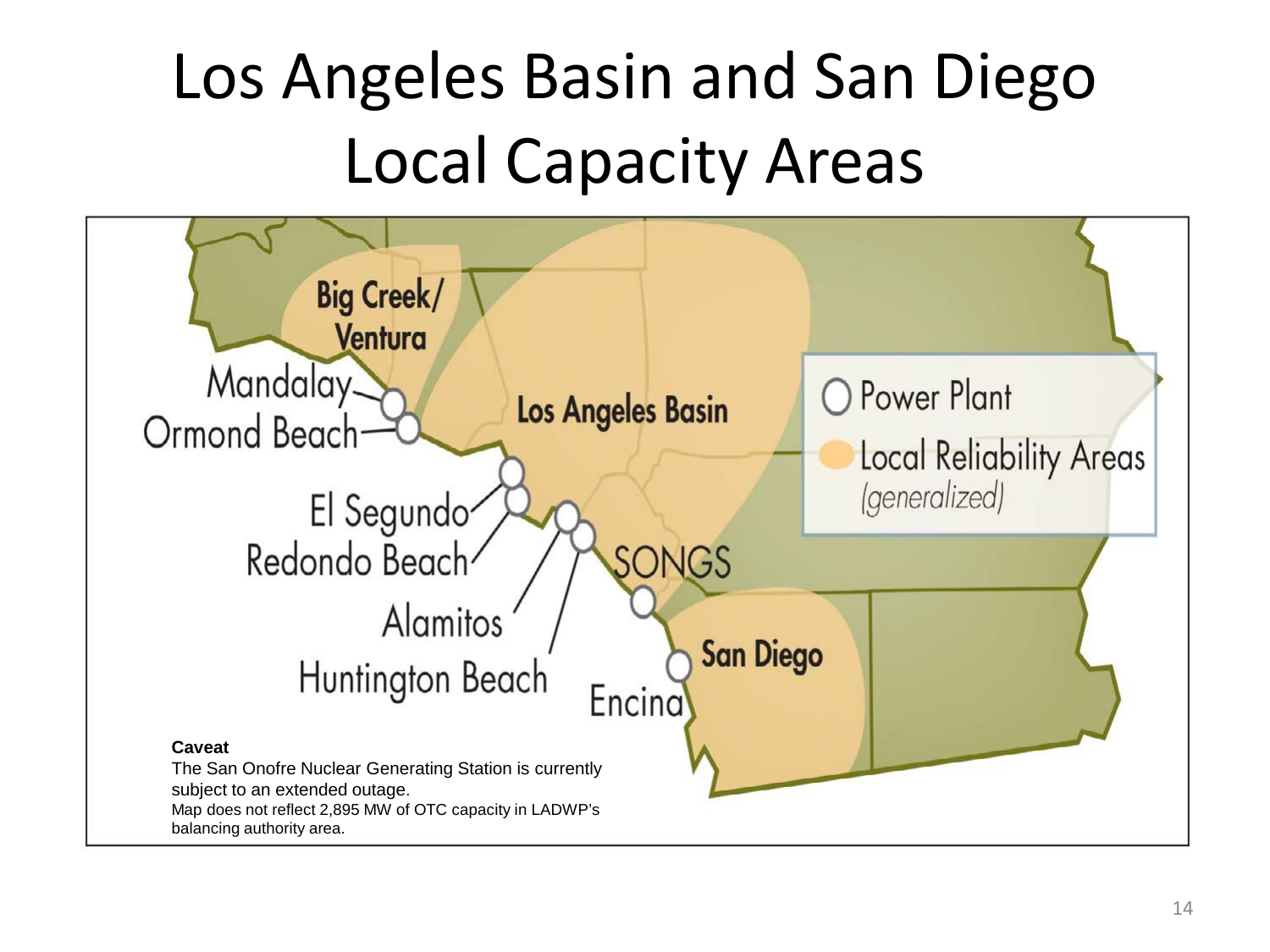#### Los Angeles Basin and San Diego Local Capacity Areas

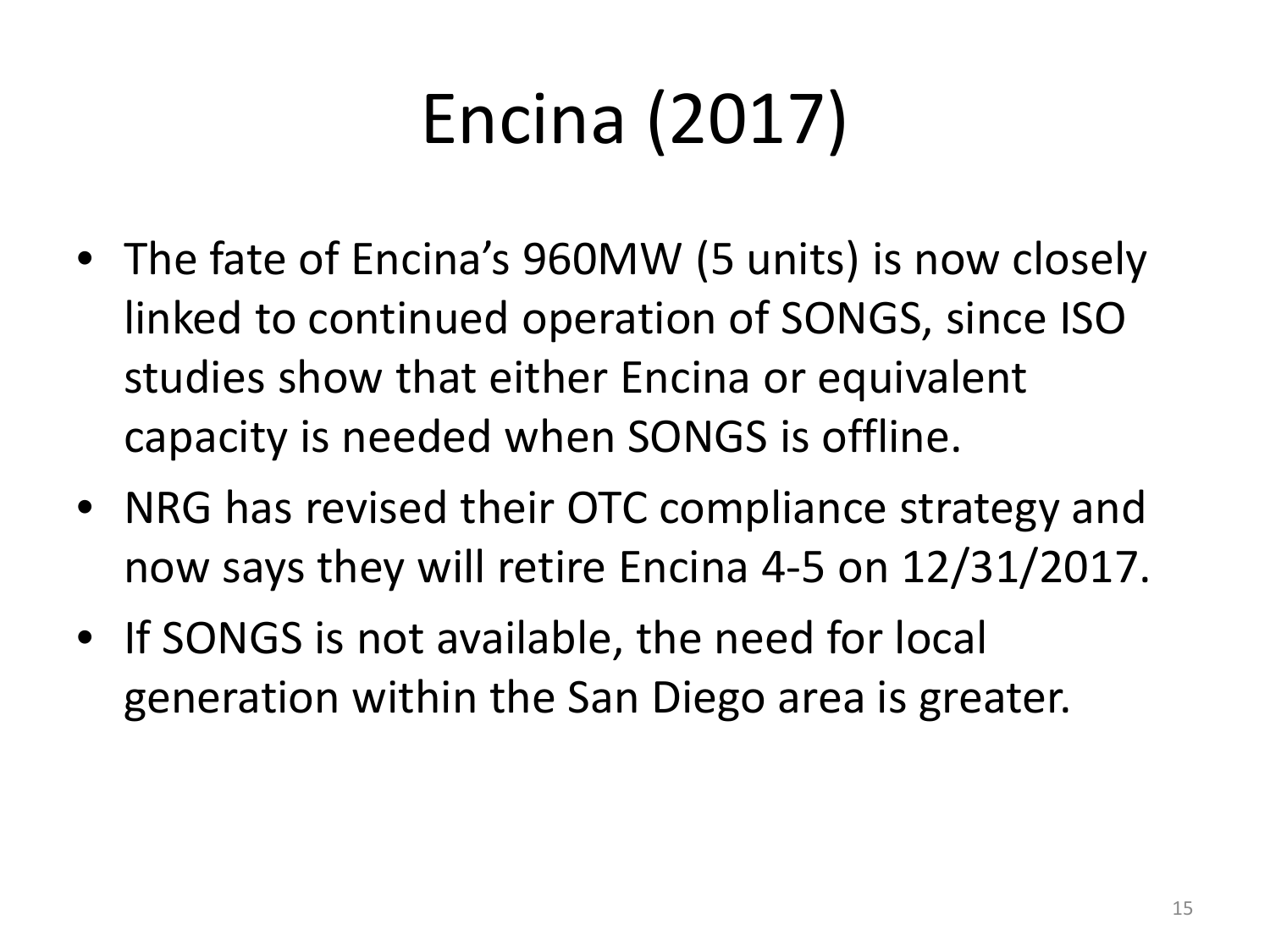# Encina (2017)

- The fate of Encina's 960MW (5 units) is now closely linked to continued operation of SONGS, since ISO studies show that either Encina or equivalent capacity is needed when SONGS is offline.
- NRG has revised their OTC compliance strategy and now says they will retire Encina 4-5 on 12/31/2017.
- If SONGS is not available, the need for local generation within the San Diego area is greater.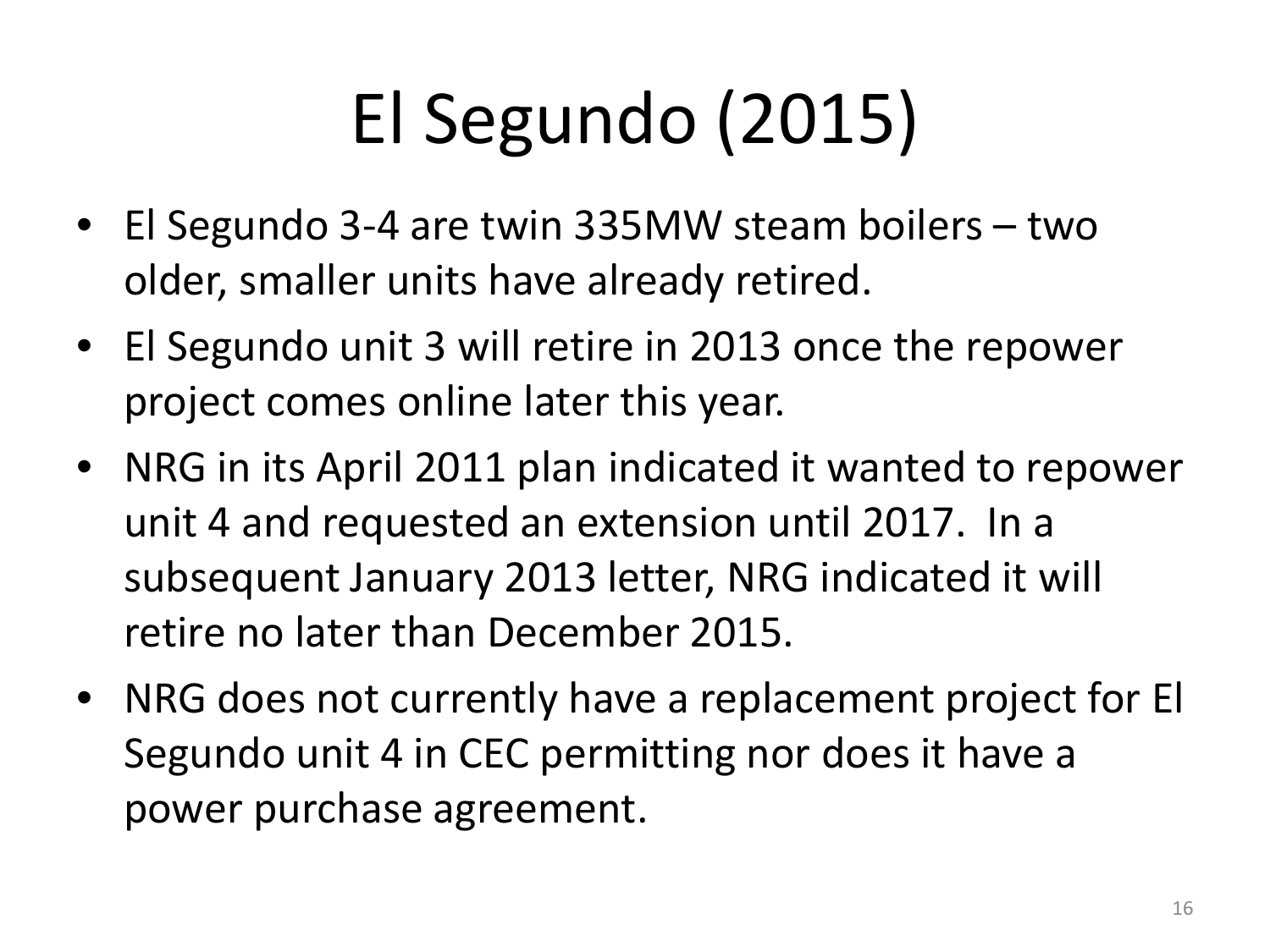## El Segundo (2015)

- El Segundo 3-4 are twin 335MW steam boilers two older, smaller units have already retired.
- El Segundo unit 3 will retire in 2013 once the repower project comes online later this year.
- NRG in its April 2011 plan indicated it wanted to repower unit 4 and requested an extension until 2017. In a subsequent January 2013 letter, NRG indicated it will retire no later than December 2015.
- NRG does not currently have a replacement project for El Segundo unit 4 in CEC permitting nor does it have a power purchase agreement.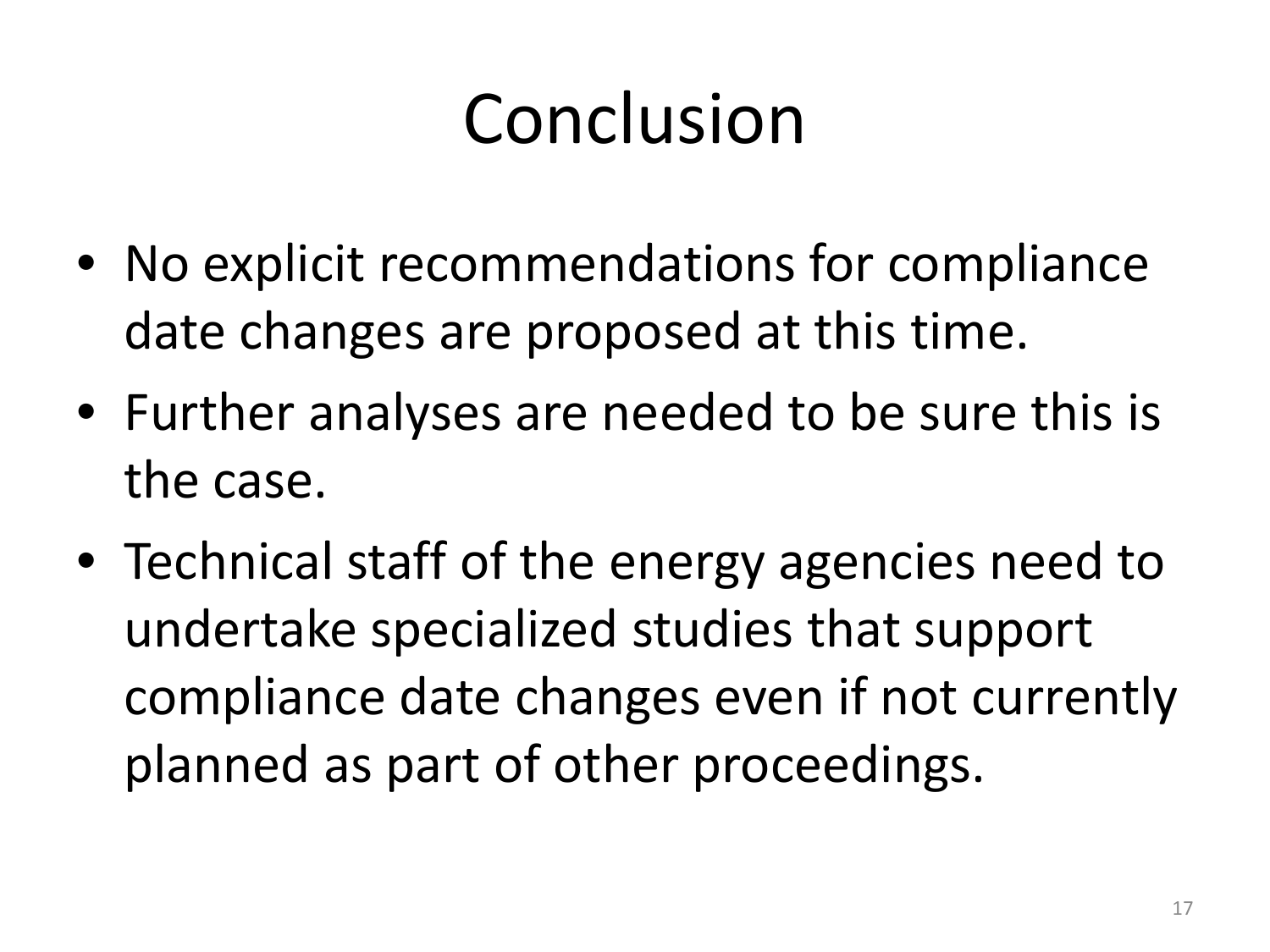#### Conclusion

- No explicit recommendations for compliance date changes are proposed at this time.
- Further analyses are needed to be sure this is the case.
- Technical staff of the energy agencies need to undertake specialized studies that support compliance date changes even if not currently planned as part of other proceedings.